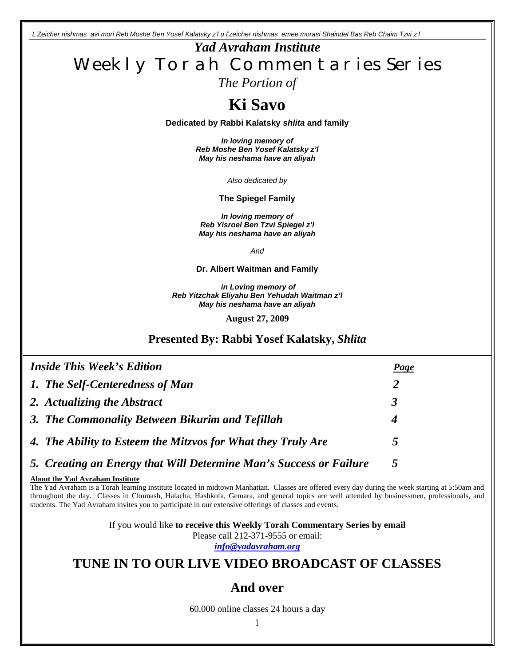*L'Zeicher nishmas avi mori Reb Moshe Ben Yosef Kalatsky z'l u l'zeicher nishmas emee morasi Shaindel Bas Reb Chaim Tzvi z'l*

*Yad Avraham Institute* Weekly Torah Commentaries Series *The Portion of* 

# **Ki Savo**

**Dedicated by Rabbi Kalatsky** *shlita* **and family**

*In loving memory of Reb Moshe Ben Yosef Kalatsky z'l May his neshama have an aliyah*

*Also dedicated by*

**The Spiegel Family**

*In loving memory of Reb Yisroel Ben Tzvi Spiegel z'l May his neshama have an aliyah*

*And*

**Dr. Albert Waitman and Family**

*in Loving memory of Reb Yitzchak Eliyahu Ben Yehudah Waitman z'l May his neshama have an aliyah*

**August 27, 2009**

### **Presented By: Rabbi Yosef Kalatsky,** *Shlita*

| <i><b>Inside This Week's Edition</b></i>                           | <b>Page</b> |
|--------------------------------------------------------------------|-------------|
| 1. The Self-Centeredness of Man                                    | 2           |
| 2. Actualizing the Abstract                                        | 3           |
| 3. The Commonality Between Bikurim and Tefillah                    | 4           |
| 4. The Ability to Esteem the Mitzvos for What they Truly Are       | 5           |
| 5. Creating an Energy that Will Determine Man's Success or Failure |             |

### **About the Yad Avraham Institute**

The Yad Avraham is a Torah learning institute located in midtown Manhattan. Classes are offered every day during the week starting at 5:50am and throughout the day. Classes in Chumash, Halacha, Hashkofa, Gemara, and general topics are well attended by businessmen, professionals, and students. The Yad Avraham invites you to participate in our extensive offerings of classes and events.

> If you would like **to receive this Weekly Torah Commentary Series by email** Please call 212-371-9555 or email: *info@yadavraham.org*

## **TUNE IN TO OUR LIVE VIDEO BROADCAST OF CLASSES**

### **And over**

60,000 online classes 24 hours a day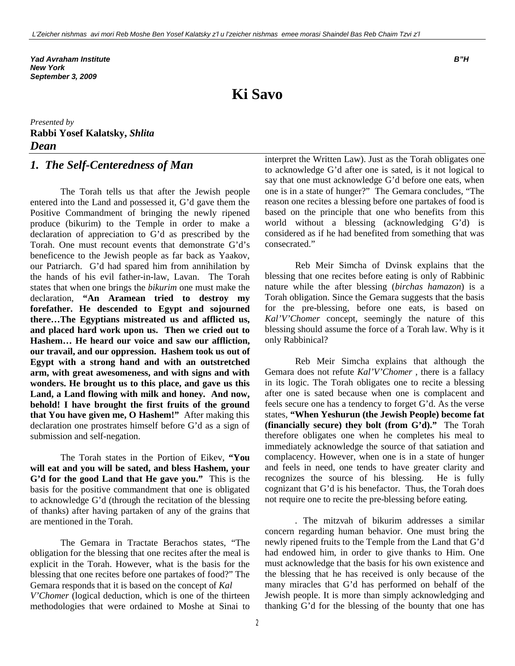*Yad Avraham Institute B"H New York September 3, 2009*

**Ki Savo**

*Presented by* **Rabbi Yosef Kalatsky,** *Shlita Dean* 

### *1. The Self-Centeredness of Man*

The Torah tells us that after the Jewish people entered into the Land and possessed it, G'd gave them the Positive Commandment of bringing the newly ripened produce (bikurim) to the Temple in order to make a declaration of appreciation to G'd as prescribed by the Torah. One must recount events that demonstrate G'd's beneficence to the Jewish people as far back as Yaakov, our Patriarch. G'd had spared him from annihilation by the hands of his evil father-in-law, Lavan. The Torah states that when one brings the *bikurim* one must make the declaration, **"An Aramean tried to destroy my forefather. He descended to Egypt and sojourned there…The Egyptians mistreated us and afflicted us, and placed hard work upon us. Then we cried out to Hashem… He heard our voice and saw our affliction, our travail, and our oppression. Hashem took us out of Egypt with a strong hand and with an outstretched arm, with great awesomeness, and with signs and with wonders. He brought us to this place, and gave us this Land, a Land flowing with milk and honey. And now, behold! I have brought the first fruits of the ground that You have given me, O Hashem!"** After making this declaration one prostrates himself before G'd as a sign of submission and self-negation.

The Torah states in the Portion of Eikev, **"You will eat and you will be sated, and bless Hashem, your G'd for the good Land that He gave you."** This is the basis for the positive commandment that one is obligated to acknowledge G'd (through the recitation of the blessing of thanks) after having partaken of any of the grains that are mentioned in the Torah.

The Gemara in Tractate Berachos states, "The obligation for the blessing that one recites after the meal is explicit in the Torah. However, what is the basis for the blessing that one recites before one partakes of food?" The Gemara responds that it is based on the concept of *Kal V'Chomer* (logical deduction, which is one of the thirteen methodologies that were ordained to Moshe at Sinai to

interpret the Written Law). Just as the Torah obligates one to acknowledge G'd after one is sated, is it not logical to say that one must acknowledge G'd before one eats, when one is in a state of hunger?" The Gemara concludes, "The reason one recites a blessing before one partakes of food is based on the principle that one who benefits from this world without a blessing (acknowledging G'd) is considered as if he had benefited from something that was consecrated."

Reb Meir Simcha of Dvinsk explains that the blessing that one recites before eating is only of Rabbinic nature while the after blessing (*birchas hamazon*) is a Torah obligation. Since the Gemara suggests that the basis for the pre-blessing, before one eats, is based on *Kal'V'Chomer* concept, seemingly the nature of this blessing should assume the force of a Torah law. Why is it only Rabbinical?

Reb Meir Simcha explains that although the Gemara does not refute *Kal'V'Chomer* , there is a fallacy in its logic. The Torah obligates one to recite a blessing after one is sated because when one is complacent and feels secure one has a tendency to forget G'd. As the verse states, **"When Yeshurun (the Jewish People) become fat (financially secure) they bolt (from G'd)."** The Torah therefore obligates one when he completes his meal to immediately acknowledge the source of that satiation and complacency. However, when one is in a state of hunger and feels in need, one tends to have greater clarity and recognizes the source of his blessing. He is fully cognizant that G'd is his benefactor. Thus, the Torah does not require one to recite the pre-blessing before eating.

*.* The mitzvah of bikurim addresses a similar concern regarding human behavior. One must bring the newly ripened fruits to the Temple from the Land that G'd had endowed him, in order to give thanks to Him. One must acknowledge that the basis for his own existence and the blessing that he has received is only because of the many miracles that G'd has performed on behalf of the Jewish people. It is more than simply acknowledging and thanking G'd for the blessing of the bounty that one has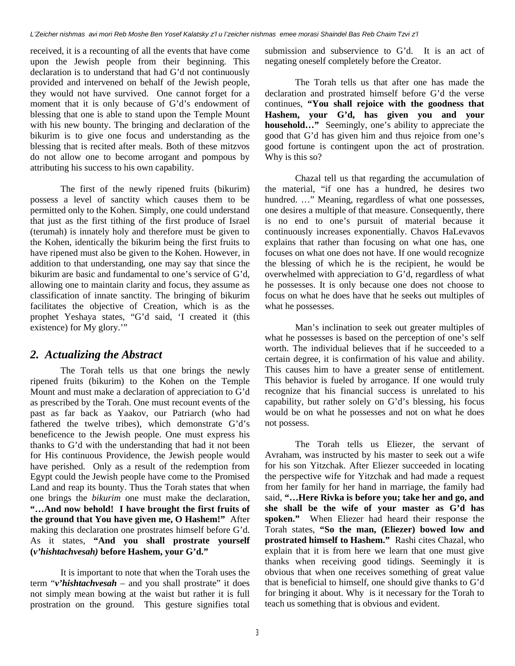received, it is a recounting of all the events that have come upon the Jewish people from their beginning. This declaration is to understand that had G'd not continuously provided and intervened on behalf of the Jewish people, they would not have survived. One cannot forget for a moment that it is only because of G'd's endowment of blessing that one is able to stand upon the Temple Mount with his new bounty. The bringing and declaration of the bikurim is to give one focus and understanding as the blessing that is recited after meals. Both of these mitzvos do not allow one to become arrogant and pompous by attributing his success to his own capability.

The first of the newly ripened fruits (bikurim) possess a level of sanctity which causes them to be permitted only to the Kohen. Simply, one could understand that just as the first tithing of the first produce of Israel (terumah) is innately holy and therefore must be given to the Kohen, identically the bikurim being the first fruits to have ripened must also be given to the Kohen. However, in addition to that understanding, one may say that since the bikurim are basic and fundamental to one's service of G'd, allowing one to maintain clarity and focus, they assume as classification of innate sanctity. The bringing of bikurim facilitates the objective of Creation, which is as the prophet Yeshaya states, "G'd said, 'I created it (this existence) for My glory.'"

### *2. Actualizing the Abstract*

The Torah tells us that one brings the newly ripened fruits (bikurim) to the Kohen on the Temple Mount and must make a declaration of appreciation to G'd as prescribed by the Torah. One must recount events of the past as far back as Yaakov, our Patriarch (who had fathered the twelve tribes), which demonstrate G'd's beneficence to the Jewish people. One must express his thanks to G'd with the understanding that had it not been for His continuous Providence, the Jewish people would have perished. Only as a result of the redemption from Egypt could the Jewish people have come to the Promised Land and reap its bounty. Thus the Torah states that when one brings the *bikurim* one must make the declaration, **"…And now behold! I have brought the first fruits of the ground that You have given me, O Hashem!"** After making this declaration one prostrates himself before G'd. As it states, **"And you shall prostrate yourself (***v'hishtachvesah)* **before Hashem, your G'd."**

It is important to note that when the Torah uses the term "*v'hishtachvesah* – and you shall prostrate" it does not simply mean bowing at the waist but rather it is full prostration on the ground. This gesture signifies total

submission and subservience to G'd. It is an act of negating oneself completely before the Creator.

The Torah tells us that after one has made the declaration and prostrated himself before G'd the verse continues, **"You shall rejoice with the goodness that Hashem, your G'd, has given you and your household…"** Seemingly, one's ability to appreciate the good that G'd has given him and thus rejoice from one's good fortune is contingent upon the act of prostration. Why is this so?

Chazal tell us that regarding the accumulation of the material, "if one has a hundred, he desires two hundred. ..." Meaning, regardless of what one possesses, one desires a multiple of that measure. Consequently, there is no end to one's pursuit of material because it continuously increases exponentially. Chavos HaLevavos explains that rather than focusing on what one has, one focuses on what one does not have. If one would recognize the blessing of which he is the recipient, he would be overwhelmed with appreciation to G'd, regardless of what he possesses. It is only because one does not choose to focus on what he does have that he seeks out multiples of what he possesses.

Man's inclination to seek out greater multiples of what he possesses is based on the perception of one's self worth. The individual believes that if he succeeded to a certain degree, it is confirmation of his value and ability. This causes him to have a greater sense of entitlement. This behavior is fueled by arrogance. If one would truly recognize that his financial success is unrelated to his capability, but rather solely on G'd's blessing, his focus would be on what he possesses and not on what he does not possess.

The Torah tells us Eliezer, the servant of Avraham, was instructed by his master to seek out a wife for his son Yitzchak. After Eliezer succeeded in locating the perspective wife for Yitzchak and had made a request from her family for her hand in marriage, the family had said, **"…Here Rivka is before you; take her and go, and she shall be the wife of your master as G'd has spoken."** When Eliezer had heard their response the Torah states, **"So the man, (Eliezer) bowed low and prostrated himself to Hashem."** Rashi cites Chazal, who explain that it is from here we learn that one must give thanks when receiving good tidings. Seemingly it is obvious that when one receives something of great value that is beneficial to himself, one should give thanks to G'd for bringing it about. Why is it necessary for the Torah to teach us something that is obvious and evident.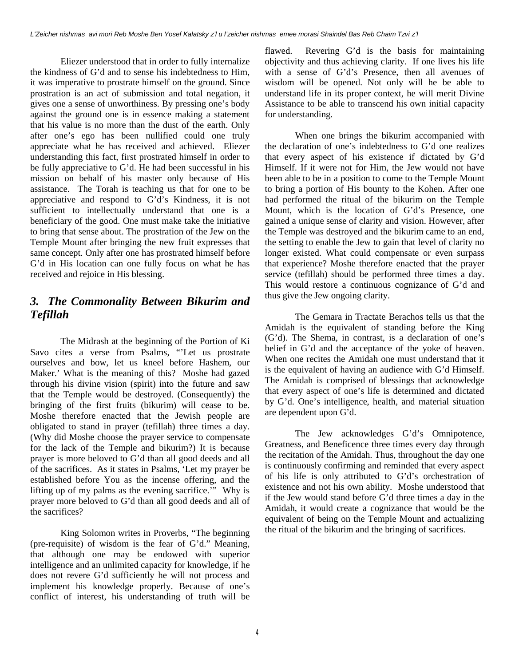Eliezer understood that in order to fully internalize the kindness of G'd and to sense his indebtedness to Him, it was imperative to prostrate himself on the ground. Since prostration is an act of submission and total negation, it gives one a sense of unworthiness. By pressing one's body against the ground one is in essence making a statement that his value is no more than the dust of the earth. Only after one's ego has been nullified could one truly appreciate what he has received and achieved. Eliezer understanding this fact, first prostrated himself in order to be fully appreciative to G'd. He had been successful in his mission on behalf of his master only because of His assistance. The Torah is teaching us that for one to be appreciative and respond to G'd's Kindness, it is not sufficient to intellectually understand that one is a beneficiary of the good. One must make take the initiative to bring that sense about. The prostration of the Jew on the Temple Mount after bringing the new fruit expresses that same concept. Only after one has prostrated himself before G'd in His location can one fully focus on what he has received and rejoice in His blessing.

### *3. The Commonality Between Bikurim and Tefillah*

The Midrash at the beginning of the Portion of Ki Savo cites a verse from Psalms, "'Let us prostrate ourselves and bow, let us kneel before Hashem, our Maker.' What is the meaning of this? Moshe had gazed through his divine vision (spirit) into the future and saw that the Temple would be destroyed. (Consequently) the bringing of the first fruits (bikurim) will cease to be. Moshe therefore enacted that the Jewish people are obligated to stand in prayer (tefillah) three times a day. (Why did Moshe choose the prayer service to compensate for the lack of the Temple and bikurim?) It is because prayer is more beloved to G'd than all good deeds and all of the sacrifices. As it states in Psalms, 'Let my prayer be established before You as the incense offering, and the lifting up of my palms as the evening sacrifice.'" Why is prayer more beloved to G'd than all good deeds and all of the sacrifices?

King Solomon writes in Proverbs, "The beginning (pre-requisite) of wisdom is the fear of G'd." Meaning, that although one may be endowed with superior intelligence and an unlimited capacity for knowledge, if he does not revere G'd sufficiently he will not process and implement his knowledge properly. Because of one's conflict of interest, his understanding of truth will be

flawed. Revering G'd is the basis for maintaining objectivity and thus achieving clarity. If one lives his life with a sense of G'd's Presence, then all avenues of wisdom will be opened. Not only will he be able to understand life in its proper context, he will merit Divine Assistance to be able to transcend his own initial capacity for understanding.

When one brings the bikurim accompanied with the declaration of one's indebtedness to G'd one realizes that every aspect of his existence if dictated by G'd Himself. If it were not for Him, the Jew would not have been able to be in a position to come to the Temple Mount to bring a portion of His bounty to the Kohen. After one had performed the ritual of the bikurim on the Temple Mount, which is the location of G'd's Presence, one gained a unique sense of clarity and vision. However, after the Temple was destroyed and the bikurim came to an end, the setting to enable the Jew to gain that level of clarity no longer existed. What could compensate or even surpass that experience? Moshe therefore enacted that the prayer service (tefillah) should be performed three times a day. This would restore a continuous cognizance of G'd and thus give the Jew ongoing clarity.

The Gemara in Tractate Berachos tells us that the Amidah is the equivalent of standing before the King (G'd). The Shema, in contrast, is a declaration of one's belief in G'd and the acceptance of the yoke of heaven. When one recites the Amidah one must understand that it is the equivalent of having an audience with G'd Himself. The Amidah is comprised of blessings that acknowledge that every aspect of one's life is determined and dictated by G'd. One's intelligence, health, and material situation are dependent upon G'd.

The Jew acknowledges G'd's Omnipotence, Greatness, and Beneficence three times every day through the recitation of the Amidah. Thus, throughout the day one is continuously confirming and reminded that every aspect of his life is only attributed to G'd's orchestration of existence and not his own ability. Moshe understood that if the Jew would stand before G'd three times a day in the Amidah, it would create a cognizance that would be the equivalent of being on the Temple Mount and actualizing the ritual of the bikurim and the bringing of sacrifices.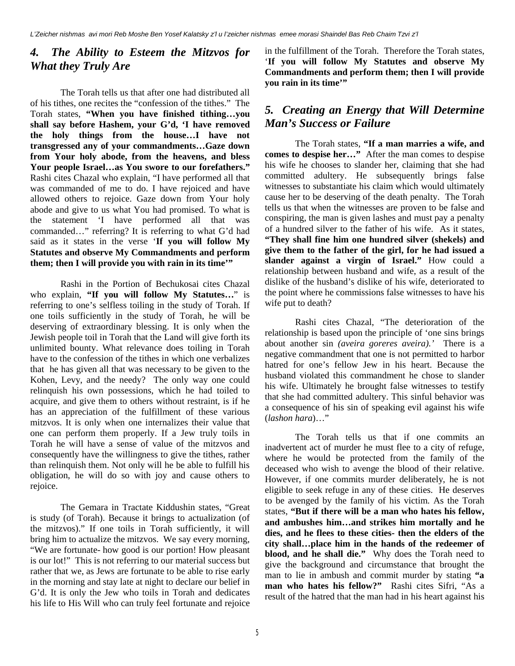### *4. The Ability to Esteem the Mitzvos for What they Truly Are*

The Torah tells us that after one had distributed all of his tithes, one recites the "confession of the tithes." The Torah states, **"When you have finished tithing…you shall say before Hashem, your G'd, 'I have removed the holy things from the house…I have not transgressed any of your commandments…Gaze down from Your holy abode, from the heavens, and bless Your people Israel…as You swore to our forefathers."** Rashi cites Chazal who explain, "I have performed all that was commanded of me to do. I have rejoiced and have allowed others to rejoice. Gaze down from Your holy abode and give to us what You had promised. To what is the statement 'I have performed all that was commanded…" referring? It is referring to what G'd had said as it states in the verse '**If you will follow My Statutes and observe My Commandments and perform them; then I will provide you with rain in its time'"** 

Rashi in the Portion of Bechukosai cites Chazal who explain, **"If you will follow My Statutes…**" is referring to one's selfless toiling in the study of Torah. If one toils sufficiently in the study of Torah, he will be deserving of extraordinary blessing. It is only when the Jewish people toil in Torah that the Land will give forth its unlimited bounty. What relevance does toiling in Torah have to the confession of the tithes in which one verbalizes that he has given all that was necessary to be given to the Kohen, Levy, and the needy? The only way one could relinquish his own possessions, which he had toiled to acquire, and give them to others without restraint, is if he has an appreciation of the fulfillment of these various mitzvos. It is only when one internalizes their value that one can perform them properly. If a Jew truly toils in Torah he will have a sense of value of the mitzvos and consequently have the willingness to give the tithes, rather than relinquish them. Not only will he be able to fulfill his obligation, he will do so with joy and cause others to rejoice.

The Gemara in Tractate Kiddushin states, "Great is study (of Torah). Because it brings to actualization (of the mitzvos)." If one toils in Torah sufficiently, it will bring him to actualize the mitzvos. We say every morning, "We are fortunate- how good is our portion! How pleasant is our lot!" This is not referring to our material success but rather that we, as Jews are fortunate to be able to rise early in the morning and stay late at night to declare our belief in G'd. It is only the Jew who toils in Torah and dedicates his life to His Will who can truly feel fortunate and rejoice in the fulfillment of the Torah. Therefore the Torah states, '**If you will follow My Statutes and observe My Commandments and perform them; then I will provide you rain in its time'"** 

### *5. Creating an Energy that Will Determine Man's Success or Failure*

The Torah states, **"If a man marries a wife, and comes to despise her…"** After the man comes to despise his wife he chooses to slander her, claiming that she had committed adultery. He subsequently brings false witnesses to substantiate his claim which would ultimately cause her to be deserving of the death penalty. The Torah tells us that when the witnesses are proven to be false and conspiring, the man is given lashes and must pay a penalty of a hundred silver to the father of his wife. As it states, **"They shall fine him one hundred silver (shekels) and give them to the father of the girl, for he had issued a slander against a virgin of Israel."** How could a relationship between husband and wife, as a result of the dislike of the husband's dislike of his wife, deteriorated to the point where he commissions false witnesses to have his wife put to death?

Rashi cites Chazal, "The deterioration of the relationship is based upon the principle of 'one sins brings about another sin *(aveira goreres aveira).'* There is a negative commandment that one is not permitted to harbor hatred for one's fellow Jew in his heart. Because the husband violated this commandment he chose to slander his wife. Ultimately he brought false witnesses to testify that she had committed adultery. This sinful behavior was a consequence of his sin of speaking evil against his wife (*lashon hara*)…"

The Torah tells us that if one commits an inadvertent act of murder he must flee to a city of refuge, where he would be protected from the family of the deceased who wish to avenge the blood of their relative. However, if one commits murder deliberately, he is not eligible to seek refuge in any of these cities. He deserves to be avenged by the family of his victim. As the Torah states, **"But if there will be a man who hates his fellow, and ambushes him…and strikes him mortally and he dies, and he flees to these cities- then the elders of the city shall…place him in the hands of the redeemer of blood, and he shall die."** Why does the Torah need to give the background and circumstance that brought the man to lie in ambush and commit murder by stating **"a man who hates his fellow?"** Rashi cites Sifri, "As a result of the hatred that the man had in his heart against his